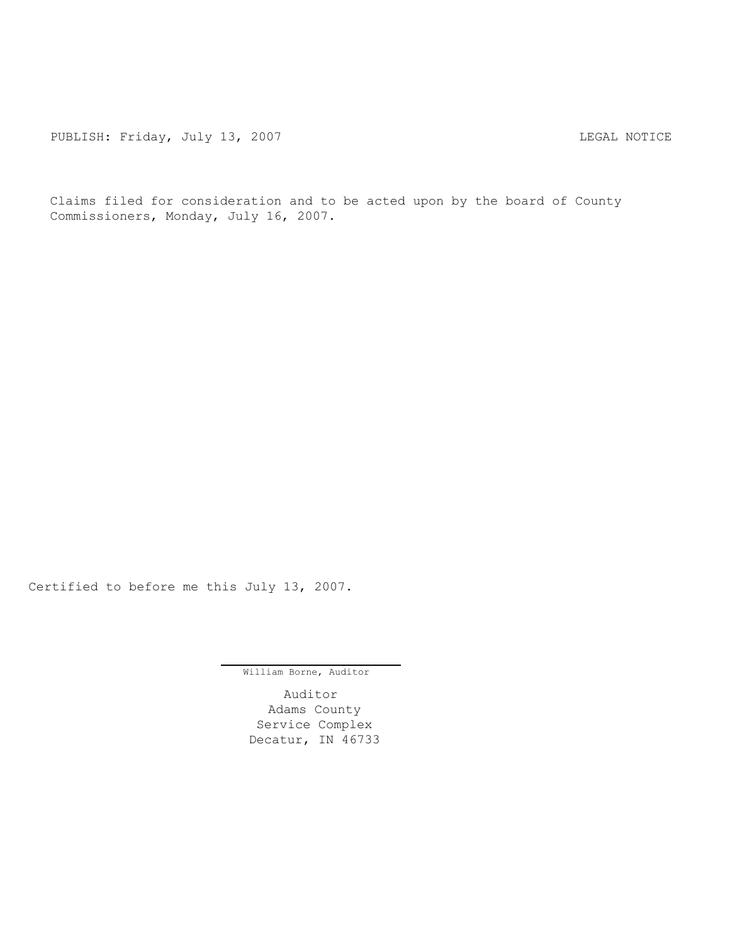PUBLISH: Friday, July 13, 2007 CHA CHANGE CONTROLLY AND THE LEGAL NOTICE

Claims filed for consideration and to be acted upon by the board of County Commissioners, Monday, July 16, 2007.

Certified to before me this July 13, 2007.

William Borne, Auditor

Auditor Adams County Service Complex Decatur, IN 46733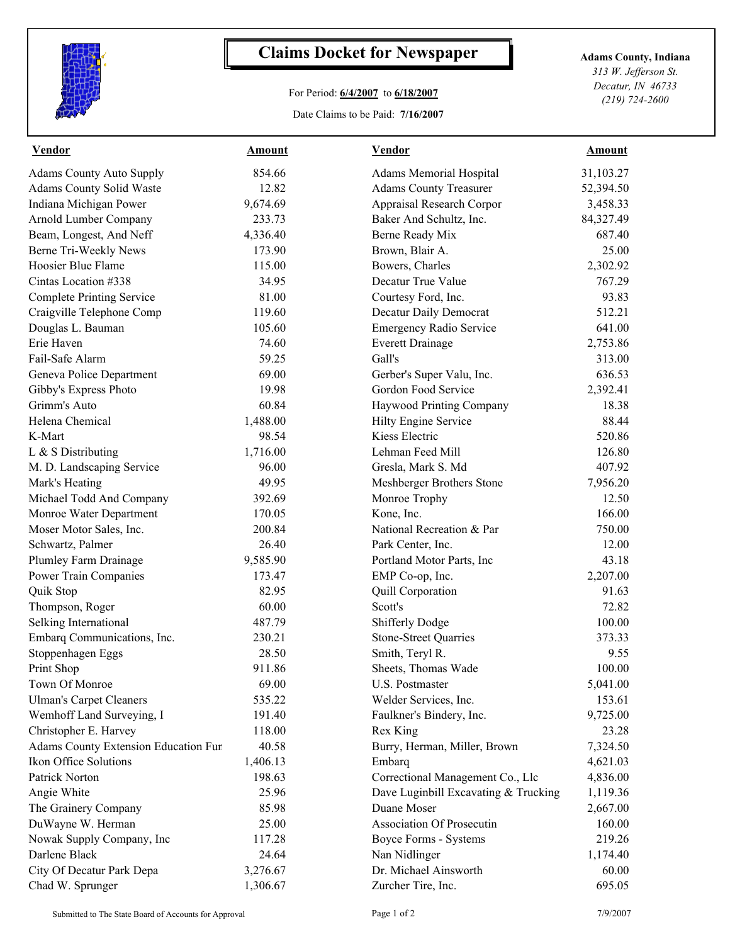

## **Claims Docket for Newspaper Adams County, Indiana**

## For Period: **6/4/2007** to **6/18/2007**

Date Claims to be Paid: **7/16/2007**

*313 W. Jefferson St. Decatur, IN 46733 (219) 724-2600*

| <b>Vendor</b>                        | <b>Amount</b> | <b>Vendor</b>                        | <b>Amount</b> |
|--------------------------------------|---------------|--------------------------------------|---------------|
| <b>Adams County Auto Supply</b>      | 854.66        | <b>Adams Memorial Hospital</b>       | 31,103.27     |
| Adams County Solid Waste             | 12.82         | <b>Adams County Treasurer</b>        | 52,394.50     |
| Indiana Michigan Power               | 9,674.69      | Appraisal Research Corpor            | 3,458.33      |
| Arnold Lumber Company                | 233.73        | Baker And Schultz, Inc.              | 84,327.49     |
| Beam, Longest, And Neff              | 4,336.40      | Berne Ready Mix                      | 687.40        |
| Berne Tri-Weekly News                | 173.90        | Brown, Blair A.                      | 25.00         |
| Hoosier Blue Flame                   | 115.00        | Bowers, Charles                      | 2,302.92      |
| Cintas Location #338                 | 34.95         | Decatur True Value                   | 767.29        |
| <b>Complete Printing Service</b>     | 81.00         | Courtesy Ford, Inc.                  | 93.83         |
| Craigville Telephone Comp            | 119.60        | Decatur Daily Democrat               | 512.21        |
| Douglas L. Bauman                    | 105.60        | <b>Emergency Radio Service</b>       | 641.00        |
| Erie Haven                           | 74.60         | <b>Everett Drainage</b>              | 2,753.86      |
| Fail-Safe Alarm                      | 59.25         | Gall's                               | 313.00        |
| Geneva Police Department             | 69.00         | Gerber's Super Valu, Inc.            | 636.53        |
| Gibby's Express Photo                | 19.98         | Gordon Food Service                  | 2,392.41      |
| Grimm's Auto                         | 60.84         | Haywood Printing Company             | 18.38         |
| Helena Chemical                      | 1,488.00      | Hilty Engine Service                 | 88.44         |
| K-Mart                               | 98.54         | Kiess Electric                       | 520.86        |
| L & S Distributing                   | 1,716.00      | Lehman Feed Mill                     | 126.80        |
| M. D. Landscaping Service            | 96.00         | Gresla, Mark S. Md                   | 407.92        |
| Mark's Heating                       | 49.95         | Meshberger Brothers Stone            | 7,956.20      |
| Michael Todd And Company             | 392.69        | Monroe Trophy                        | 12.50         |
| Monroe Water Department              | 170.05        | Kone, Inc.                           | 166.00        |
| Moser Motor Sales, Inc.              | 200.84        | National Recreation & Par            | 750.00        |
| Schwartz, Palmer                     | 26.40         | Park Center, Inc.                    | 12.00         |
| Plumley Farm Drainage                | 9,585.90      | Portland Motor Parts, Inc            | 43.18         |
| Power Train Companies                | 173.47        | EMP Co-op, Inc.                      | 2,207.00      |
| Quik Stop                            | 82.95         | Quill Corporation                    | 91.63         |
| Thompson, Roger                      | 60.00         | Scott's                              | 72.82         |
| Selking International                | 487.79        | <b>Shifferly Dodge</b>               | 100.00        |
| Embarq Communications, Inc.          | 230.21        | <b>Stone-Street Quarries</b>         | 373.33        |
| Stoppenhagen Eggs                    | 28.50         | Smith, Teryl R.                      | 9.55          |
| Print Shop                           | 911.86        | Sheets, Thomas Wade                  | 100.00        |
| Town Of Monroe                       | 69.00         | U.S. Postmaster                      | 5,041.00      |
| <b>Ulman's Carpet Cleaners</b>       | 535.22        | Welder Services, Inc.                | 153.61        |
| Wemhoff Land Surveying, I            | 191.40        | Faulkner's Bindery, Inc.             | 9,725.00      |
| Christopher E. Harvey                | 118.00        | Rex King                             | 23.28         |
| Adams County Extension Education Fur | 40.58         | Burry, Herman, Miller, Brown         | 7,324.50      |
| Ikon Office Solutions                | 1,406.13      | Embarq                               | 4,621.03      |
| Patrick Norton                       | 198.63        | Correctional Management Co., Llc     | 4,836.00      |
| Angie White                          | 25.96         | Dave Luginbill Excavating & Trucking | 1,119.36      |
| The Grainery Company                 | 85.98         | Duane Moser                          | 2,667.00      |
| DuWayne W. Herman                    | 25.00         | <b>Association Of Prosecutin</b>     | 160.00        |
| Nowak Supply Company, Inc            | 117.28        | Boyce Forms - Systems                | 219.26        |
| Darlene Black                        | 24.64         | Nan Nidlinger                        | 1,174.40      |
| City Of Decatur Park Depa            | 3,276.67      | Dr. Michael Ainsworth                | 60.00         |
| Chad W. Sprunger                     | 1,306.67      | Zurcher Tire, Inc.                   | 695.05        |